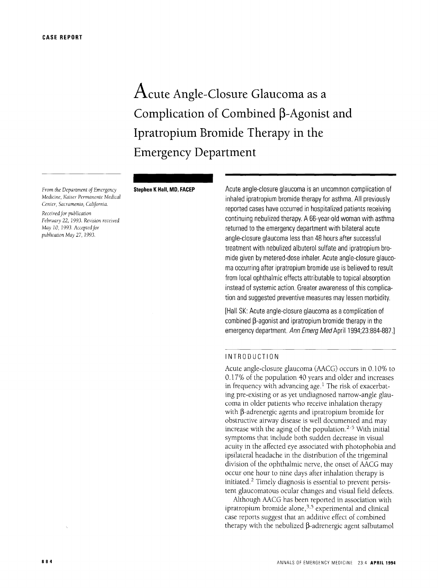**Acute Angle-Closure Glaucoma as a Acute Angle-Closure Glaucoma as a Complication of Combined [3-Agonist and Complication of Combined p-Agonist and Ipratropium Bromide Therapy in the Ipratropium Bromide Therapy in the Emergency Department Emergency Department**

**Stephen K Hall, MD, FACEP** Acute angle-closure glaucoma is an uncommon complication of **Stephen KHall, MD. FACEP** Acute angle-closure glaucoma is an uncommon complication of inhaled ipratropium bromide therapy for asthma. All previously inhaled ipratropium bromide therapy for asthma. All previously reported cases have occurred in hospitalized patients receiving reported cases have occurred in hospitalized patients receiving continuing nebulized therapy. A 66-year-old woman with asthma continuing nebulized therapy. A66-year-old woman with asthma returned to the emergency department with bilateral acute returned to the emergency department with bilateral acute angle-closure glaucoma less than 48 hours after successful angle-closure glaucoma less than 48 hours after successful treatment with nebulized albuterol sulfate and ipratropium bro-treatment with nebulized albuterol sulfate and ipratropium bromide given by metered-dose inhaler. Acute angle-closure glauco-mide given by metered-dose inhaler. Acute angle-closure glaucoma occurring after ipratropium bromide use is believed to result ma occurring after ipratropium bromide use is believed to result from local ophthalmic effects attributable to topical absorption from local ophthalmic effects attributable to topical absorption instead of systemic action. Greater awareness of this complica-instead of systemic action. Greater awareness of this complication and suggested preventive measures may lessen morbidity. tion and suggested preventive measures may lessen morbidity.

> [Hall SK: Acute angle-closure glaucoma as a complication of [Hall SK: Acute angle-closure glaucoma as acomplication of combined  $\beta$ -agonist and ipratropium bromide therapy in the emergency department. *Ann Emerg Med Apri11994;23:884-887.]*  emergency department. Ann Emerg MedApril 1994;23:884-887.J

#### INTRODUCTION INTRODUCTION

Acute angle-closure glaucoma (AACG) occurs in 0.10% to Acute angle-closure glaucoma (MCG) occurs in 0.10% to 0.17% of the population 40 years and older and increases 0.17% of the population 40 years and older and increases in frequency with advancing age. $^1$  The risk of exacerbating pre-existing or as yet undiagnosed narrow-angle glau-ing pre-existing or as yet undiagnosed narrow-angle glaucoma in older patients who receive inhalation therapy coma in older patients who receive inhalation therapy with  $\beta$ -adrenergic agents and ipratropium bromide for obstructive airway disease is well documented and may obstructive airway disease is well documented and may increase with the aging of the population.<sup>2-5</sup> With initial symptoms that include both sudden decrease in visual symptoms that include both sudden decrease in visual acuity in the affected eye associated with photophobia and acuity in the affected eye associated with photophobia and ipsilateral headache in the distribution of the trigeminal ipsilateral headache in the distribution of the trigeminal division of the ophthalmic nerve, the onset of AACG may division of the ophthalmic nerve, the onset of MCG may occur one hour to nine days after inhalation therapy is occur one hour to nine days after inhalation therapy is initiated. 2 Timely diagnosis is essential to prevent persis-initiated. <sup>2</sup> Timely diagnosis is essential to prevent persistent glaucomatous ocular changes and visual field defects. tent glaucomatous ocular changes and visual field defects.

Although AACG has been reported in association with Although MCG has been reported in association with ipratropium bromide alone, 3,5 experimental and clinical ipratropium bromide alone,3,5 experimental and clinical case reports suggest that an additive effect of combined case reports suggest that an additive effect of combined therapy with the nebulized  $\beta$ -adrenergic agent salbutamol

*From the Department of Emergency From the Department of Emergency Medicine, Kaiser Permanente Medical Medicine, Kaiser Permanente Medical Center, Sacramento, California. Center, Sacramento, California.*

*Received for publication Received for publication February* 22, *1993. Revision received February* 22, 1993. *Revision received May i0, 1993. Acceptedjor May* 10, 1993. *Acceptedfor publication May 27, 1993. publication May* 27, 1993.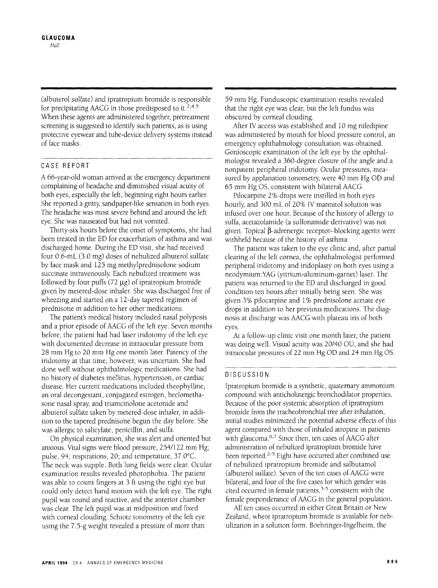(albuterol sulfate) and ipratropium bromide is responsible (albuterol sulfate) and ipratropium bromide is responsible for precipitating AACG in those predisposed to it.<sup>2,4,5</sup> When these agents are administered together, pretreatment When these agents are administered together, pretreatment screening is suggested to identify such patients, as is using screening is suggested to identify such patients, as is using protective eyewear and tube-device delivery systems instead protective eyewear and tube-device delivery systems instead of face masks. of face masks.

# CASE REPORT CASE REPORT

A 66-year-old woman arrived at the emergency department A 66-year-old woman arrived at the emergency department complaining of headache and diminished visual acuity of complaining of headache and diminished visual acuity of both eyes, especially the left, beginning eight hours earlier. both eyes, especially the left, beginning eight hours earlier. She reported a gritty, sandpaper-like sensation in both eyes. She reported a gritty, sandpaper-like sensation in both eyes. The headache was most severe behind and around the left The headache was most severe behind and around the left eye. She was nauseated but had not vomited. eye. She was nauseated but had not vomited.

Thirty-six hours before the onset of symptoms, she had Thirty-six hours before the onset of symptoms, she had been treated in the ED for exacerbation of asthma and was been treated in the ED for exacerbation of asthma and was discharged home. During the ED visit, she had received discharged home. During the ED visit, she had received four 0.6-mL (3.0 mg) doses of nebulized albuterol sulfate by face mask and 125 mg methylprednisolone sodium by face mask and 125 mg methylprednisolone sodium succinate intravenously. Each nebulized treatment was succinate intravenously. Each nebulized treatment was followed by four puffs (72  $\mu$ g) of ipratropium bromide given by metered-dose inhaler. She was discharged free of given by metered-dose inhaler. She was discharged free of wheezing and started on a 12-day tapered regimen of wheezing and started on a 12-day tapered regimen of prednisone in addition to her other medications. prednisone in addition to her other medications.

The patient's medical history included nasal polyposis The patient's medical history included nasal polyposis and a prior episode of AACG of the left eye. Seven months and a prior episode of AACG of the left eye, Seven months before, the patient had had laser iridotomy of the left eye before, the patient had had laser iridotomy of the left eye with documented decrease in intraocular pressure from with documented decrease in intraocular pressure from 28 mm Hg to 20 mm Hg one month later. Patency of the 28 mm Hg to 20 mm Hg one month later. Patency of the iridotomy at that time, however, was uncertain. She had iridotomy at that time, however, was uncertain. She had done well without ophthalmologic medications. She had done well without ophthalmologic medications. She had no history of diabetes mellitus, hypertension, or cardiac no history of diabetes mellitus, hypertension, or cardiac disease. Her current medications included theophylline, disease. Her current medications included theophylline, an oral decongestant, conjugated estrogen, beclometha-an oral decongestant, conjugated estrogen, beclomethasone nasal spray, and triamcinolone acetonide and sone nasal spray, and triamcinolone acetonide and albuterol sulfate taken by metered-dose inhaler, in addi-albuterol sulfate taken by metered-dose inhaler, in addition to the tapered prednisone begun the day before. She tion to the tapered prednisone begun the day before. She was allergic to salicylate, penicillin, and sulfa. was allergic to salicylate, penicillin, and sulfa.

On physical examination, she was alert and oriented but On physical examination, she was alert and oriented but anxious. Vital signs were blood pressure, 254-/122 mm Hg; anxious. Vital signs were blood pressure, 254/122 mm Hg; pulse, 94; respirations, 20; and temperature, 37.0°C. The neck was supple. Both lung fields were clear. Ocular The neck was supple. Both lung fields were clear. Ocular examination results revealed photophobia. The patient examination results revealed photophobia. The patient was able to count fingers at 3 ft using the right eye but was able to count fingers at 3 ft using the right eye but could only detect hand motion with the left eye. The right could only detect hand motion with the left eye. The right pupil was round and reactive, and the anterior chamber pupil was round and reactive, and the anterior chamber was clear. The left pupil was at midposition and fixed was clear. The left pupil was at midposition and fixed with corneal clouding. Schiotz tonometry of the left eye with corneal clouding. Schiotz tonometry of the left eye using the 7.5-g weight revealed a pressure of more than using the 7.5-g weight revealed a pressure of more than

59 mm Hg. Funduscopic examination results revealed 59 mm Hg. Funduscopic examination results revealed that the right eye was clear, but the left fundus was that the right eye was clear, but the left fundus was obscured by corneal clouding. obscured by corneal clouding.

After IV access was established and 10 mg nifedipine After IV access was established and 10 mg nifedipine was administered by mouth for blood pressure control, an was administered by mouth for blood pressure control, an emergency ophthalmology consultation was obtained. emergency ophthalmology consultation was obtained. Gonioscopic examination of the left eye by the ophthal-Gonioscopic examination of the left eye by the ophthalmologist revealed a 360-degree closure of the angle and a mologist revealed a 360-degree closure of the angle and a nonpatent peripheral iridotomy. Ocular pressures, mea-nonpatent peripheral iridotomy. Ocular pressures, measured by applanation tonometry, were 40 mm Hg OD and sured by applanation tonometry, were 40 mm Hg OD and 65 mm Hg OS, consistent with bilateral AACG. 65 mm Hg OS, consistent with bilateral AACG.

Pilocarpine 2% drops were instilled in both eyes Pilocarpine 2% drops were instilled in both eyes hourly, and 300 mL of 20% IV mannitol solution was hourly, and 300 mL of 20% IV mannitol solution was infused over one hour. Because of the history of allergy to infused over one hour. Because of the history of allergy to sulfa, acetazolamide (a sulfonamide derivative) was not sulfa, acetazolamide (a sulfonamide derivative) was not given. Topical  $\beta$ -adrenergic receptor–blocking agents were withheld because of the history of asthma. withheld because of the history of asthma.

The patient was taken to the eye clinic and, after partial The patient was taken to the eye clinic and, after partial clearing of the left cornea, the ophthalmologist performed clearing of the left cornea, the ophthalmologist performed peripheral iridotomy and iridoplasty on both eyes using a peripheral iridotomy and iridoplasty on both eyes using a neodymium:¥AG (yttrium-aluminum-garnet) laser. The neodymium:YAG (yttrium-aluminum-garnet) laser. The patient was returned to the ED and discharged in good patient was returned to the ED and discharged in good condition ten hours after initially being seen. She was condition ten hours after initially being seen. She was given 3% pilocarpine and 1% prednisolone acetate eye given 3% pilocarpine and 1% prednisolone acetate eye drops in addition to her previous medications. The diag-drops in addition to her previous medications. The diagnosis at discharge was AACG with plateau iris of both nosis at discharge was AACG with plateau iris of both eyes. eyes.

At a follow-up clinic visit one month later, the patient At a follow-up clinic visit one month later, the patient was doing well. Visual acuity was *20140* OU, and she had was doing well. Visual acuity was *20/40* OU, and she had intraocular pressures of 22 mm Hg OD and 24 mm Hg OS. intraocular pressures of 22 mm Hg OD and 24 mm Hg OS.

## DISCUSSION DISCUSSION

Ipratropium bromide is a synthetic, quaternary ammonium Ipratropium bromide is a synthetic, quaternary ammonium compound with anticholinergic bronchodilator properties. compound with anticholinergic bronchodilator properties. Because of the poor systemic absorption of ipratropium Because of the poor systemic absorption of ipratropium bromide from the tracheobronchial tree after inhalation, bromide from the tracheobronchial tree after inhalation, initial studies minimized the potential adverse effects of this initial studies minimized the potential adverse effects of this agent compared with those of inhaled atropine in patients agent compared with those of inhaled atropine in patients with glaucoma.<sup>6,7</sup> Since then, ten cases of AACG after administration of nebulized ipratropium bromide have administration of nebulized ipratropium bromide have been reported.<sup>2-5</sup> Eight have occurred after combined use of nebulized ipratropium bromide and salbutamol of nebulized ipratropium bromide and salbutamol (albuterol sulfate). Seven of the ten cases of AACG were (albuterol sulfate). Seven of the ten cases of AACG were bilateral, and four of the five cases for which gender was bilateral, and four of the five cases for which gender was cited occurred in female patients, 3-5 consistent with the cited occurred in female patients,3-5 consistent with the female preponderance of AACG in the general population. female preponderance of AACG in the general population.

All ten cases occurred in either Great Britain or New All ten cases occurred in either Great Britain or New Zealand, where ipratropium bromide is available for neb-Zealand, where ipratropium bromide is available for nebulization in a solution form. Boehringer-Ingelheim, the ulization in a solution form. Boehringer-Ingelheim, the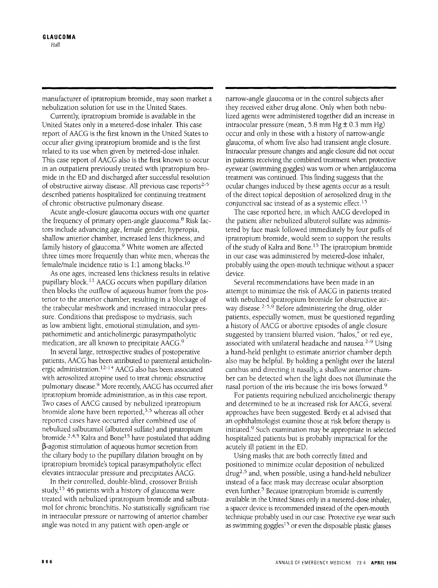manufacturer of ipratropium bromide, may soon market a manufacturer of ipratropium bromide, may soon market a nebulization solution for use in the United States. nebulization solution for use in the United States.

Currently, ipratropium bromide is available in the Currently, ipratropium bromide is available in the United States only in a metered-dose inhaler. This case United States only in a metered-dose inhaler. This case report of AACG is the first known in the United States to report of MCG is the first known in the United States to occur after giving ipratropium bromide and is the first occur after giving ipratropium bromide and is the first related to its use when given by metered-dose inhaler. related to its use when given by metered-dose inhaler. This case report of AACG also is the first known to occur This case report of MCG also is the first known to occur in an outpatient previously treated with ipratropium bro-in an outpatient preViously treated with ipratropium bromide in the ED and discharged after successful resolution mide in the ED and discharged after successful resolution of obstructive airway disease. All previous case reports<sup>2-5</sup> described patients hospitalized for continuing treatment described patients hospitalized for continuing treatment of chronic obstructive pulmonary disease. of chronic obstructive pulmonary disease.

Acute angle-closure glaucoma occurs with one quarter Acute angle-closure glaucoma occurs with one quarter the frequency of primary open-angle glaucoma.<sup>8</sup> Risk factors include advancing age, female gender, hyperopia, tors include advancing age, female gender, hyperopia, shallow anterior chamber, increased lens thickness, and shallow anterior chamber, increased lens thickness, and family history of glaucoma. 9 White women are affected family history of glaucoma. <sup>9</sup> White women are affected three times more frequently than white men, whereas the three times more frequently than white men, whereas the female/male incidence ratio is  $1{:}1$  among blacks. $^{10}$   $\,$ 

As one ages, increased lens thickness results in relative As one ages, increased lens thickness results in relative pupillary block. $<sup>11</sup>$  AACG occurs when pupillary dilation</sup> then blocks the outflow of aqueous humor from the pos-then blocks the outflow of aqueous humor from the posterior to the anterior chamber, resulting in a blockage of terior to the anterior chamber, resulting in a blockage of the trabecular meshwork and increased intraocular pres-the trabecular meshwork and increased intraocular pressure. Conditions that predispose to mydriasis, such sure. Conditions that predispose to mydriasis, such as low ambient light, emotional stimulation, and sym-as low ambient light, emotional stimulation, and sympathomimetic and anticholinergic parasympatholytic pathomimetic and anticholinergic parasympatholytic medication, are all known to precipitate  $\mathrm{AACG.}^9$ 

In several large, retrospective studies of postoperative In several large, retrospective studies of postoperative patients, AACG has been attributed to parenteral anticholin-patients, MCG has been attributed to parenteral anticholinergic administration.<sup>12-14</sup> AACG also has been associated with aerosolized atropine used to treat chronic obstructive with aerosolized atropine used to treat chronic obstructive pulmonary disease.<sup>9</sup> More recently, AACG has occurred after ipratropium bromide administration, as in this case report. ipratropium bromide administration, as in this case report. Two cases of AACG caused by nebulized ipratropium Two cases of MCG caused by nebulized ipratropium bromide alone have been reported, 3,5 whereas all other bromide alone have been reported,3,5 whereas all other reported cases have occurred after combined use of reported cases have occurred after combined use of nebulized salbutamol (albuterol sulfate) and ipratropium nebulized salbutamol (albuterol sulfate) and ipratropium bromide.<sup>2,4,5</sup> Kalra and Bone<sup>15</sup> have postulated that adding  $\beta$ -agonist stimulation of aqueous humor secretion from  $\beta$ the ciliary body to the pupillary dilation brought on by the Ciliary body to the pupillary dilation brought on by ipratropium bromide's topical parasympatholytic effect ipratropium bromide's topical parasympatholytic effect elevates intraocular pressure and precipitates AACG. elevates intraocular pressure and precipitates MCG,

In their controlled, double-blind, crossover British In their controlled, double-blind, crossover British study, 15 46 patients with a history of glaucoma were study,15 46 patients with a history of glaucoma were treated with nebulized ipratropium bromide and salbuta-treated with nebulized ipratropium bromide and salbutamol for chronic bronchitis. No statistically significant rise mol for chronic bronchitis. No statistically significant rise in intraocular pressure or narrowing of anterior chamber in intraocular pressure or narrowing of anterior chamber angle was noted in any patient with open-angle or angle was noted in any patient with open-angle or

narrow-angle glaucoma or in the control subjects after narrow-angle glaucoma or in the control subjects after they received either drug alone. Only when both nebu-they received either drug alone. Only when both nebulized agents were administered together did an increase in lized agents were administered together did an increase in intraocular pressure (mean, 5.8 mm Hg  $\pm$  0.3 mm Hg) occur and only in those with a history of narrow-angle occur and only in those with a history of narrow-angle glaucoma, of whom five also had transient angle closure. glaucoma, of whom five also had transient angle closure. Intraocular pressure changes and angle closure did not occur Intraocular pressure changes and angle closure did not occur in patients receiving the combined treatment when protective in patients receiving the combined treatment when protective eyewear (swimming goggles) was worn or when antiglaucoma eyewear (swimming goggles) was worn or when antiglaucoma treatment was continued. This finding suggests that the treatment was continued. This finding suggests that the ocular changes induced by these agents occur as a result ocular changes induced by these agents occur as a result of the direct topical deposition of aerosolized drug in the of the direct topical deposition of aerosolized drug in the conjunctival sac instead of as a systemic effect. 15 conjunctival sac instead of as a systemic effect. 15

The case reported here, in which AACG developed in The case reported here, in which MCG developed in the patient after nebulized albuterol sulfate was adminis-the patient after nebulized albuterol sulfate was administered by face mask followed immediately by four puffs of tered by face mask followed immediately by four puffs of ipratropium bromide, would seem to support the results ipratropium bromide, would seem to support the results of the study of Kalra and Bone.<sup>15</sup> The ipratropium bromide in our case was administered by metered-dose inhaler, in our case was administered by metered-dose inhaler, probably using the open-mouth technique without a spacer probably using the open-mouth technique without a spacer device. device.

Several recommendations have been made in an Several recommendations have been made in an attempt to minimize the risk of AACG in patients treated attempt to minimize the risk of MCG in patients treated with nebulized ipratropium bromide for obstructive air-with nebulized ipratropium bromide for obstructive airway disease.<sup>2-5,9</sup> Before administering the drug, older patients, especially women, must be questioned regarding patients, especially women, must be questioned regarding a history of AACG or abortive episodes of angle closure a history of MCG or abortive episodes of angle closure suggested by transient blurred vision, "halos," or red eye, suggested by transient blurred vision, "halos," or red eye, associated with unilateral headache and nausea. 2-9 Using associated with unilateral headache and nausea. 2- <sup>9</sup> Using a hand-held penlight to estimate anterior chamber depth a hand-held penlight to estimate anterior chamber depth also may be helpful. By holding a penlight over the lateral also may be helpful. By holding a penlight over the lateral canthus and directing it nasally, a shallow anterior cham-canthus and directing it nasally, a shallow anterior chamber can be detected when the light does not illuminate the ber can be detected when the light does not illuminate the nasal portion of the iris because the iris bows forward.<sup>9</sup>

For patients requiring nebulized anticholinergic therapy For patients requiring nebulized anticholinergic therapy and determined to be at increased risk for AACG, several and determined to be at increased risk for AACG, several approaches have been suggested. Berdy et al advised that approaches have been suggested. Berdy et al advised that an ophthalmologist examine those at risk before therapy is an ophthalmologist examine those at risk before therapy is initiated. 9 Such examination may be appropriate in selected initiated. <sup>9</sup> Such examination may be appropriate in selected hospitalized patients but is probably impractical for the hospitalized patients but is probably impractical for the acutely ill patient in the ED. acutely ill patient in the ED.

Using masks that are both correctly fitted and Using masks that are both correctly fitted and positioned to minimize ocular deposition of nebulized positioned to minimize ocular deposition of nebulized drug<sup>2,5</sup> and, when possible, using a hand-held nebulizer instead of a face mask may decrease ocular absorption instead of a face mask may decrease ocular absorption even further.<sup>5</sup> Because ipratropium bromide is currently available in the United States only in a metered-dose inhaler, available in the United States only in a metered-dose inhaler, a spacer device is recommended instead of the open-mouth a spacer device is recommended instead of the open-mouth technique probably used in our case. Protective eye wear such technique probably used in our case. Protective eye wear such as swimming goggles 15 or even the disposable plastic glasses as swimming goggles<sup>15</sup> or even the disposable plastic glasses